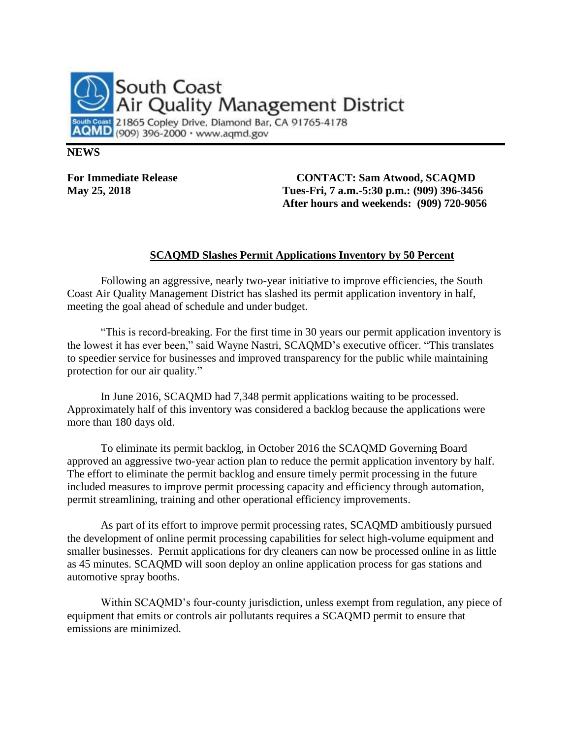

## **NEWS**

**For Immediate Release CONTACT: Sam Atwood, SCAQMD May 25, 2018 Tues-Fri, 7 a.m.-5:30 p.m.: (909) 396-3456 After hours and weekends: (909) 720-9056**

## **SCAQMD Slashes Permit Applications Inventory by 50 Percent**

Following an aggressive, nearly two-year initiative to improve efficiencies, the South Coast Air Quality Management District has slashed its permit application inventory in half, meeting the goal ahead of schedule and under budget.

"This is record-breaking. For the first time in 30 years our permit application inventory is the lowest it has ever been," said Wayne Nastri, SCAQMD's executive officer. "This translates to speedier service for businesses and improved transparency for the public while maintaining protection for our air quality."

In June 2016, SCAQMD had 7,348 permit applications waiting to be processed. Approximately half of this inventory was considered a backlog because the applications were more than 180 days old.

To eliminate its permit backlog, in October 2016 the SCAQMD Governing Board approved an aggressive two-year action plan to reduce the permit application inventory by half. The effort to eliminate the permit backlog and ensure timely permit processing in the future included measures to improve permit processing capacity and efficiency through automation, permit streamlining, training and other operational efficiency improvements.

As part of its effort to improve permit processing rates, SCAQMD ambitiously pursued the development of online permit processing capabilities for select high-volume equipment and smaller businesses. Permit applications for dry cleaners can now be processed online in as little as 45 minutes. SCAQMD will soon deploy an online application process for gas stations and automotive spray booths.

Within SCAQMD's four-county jurisdiction, unless exempt from regulation, any piece of equipment that emits or controls air pollutants requires a SCAQMD permit to ensure that emissions are minimized.